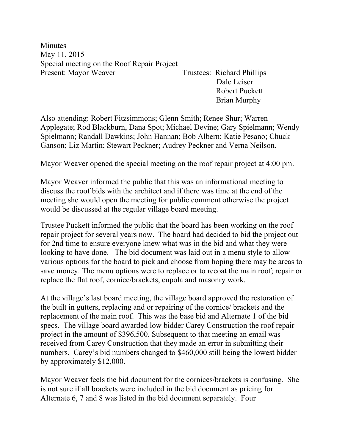**Minutes** May 11, 2015 Special meeting on the Roof Repair Project Present: Mayor Weaver Trustees: Richard Phillips

 Dale Leiser Robert Puckett Brian Murphy

Also attending: Robert Fitzsimmons; Glenn Smith; Renee Shur; Warren Applegate; Rod Blackburn, Dana Spot; Michael Devine; Gary Spielmann; Wendy Spielmann; Randall Dawkins; John Hannan; Bob Albern; Katie Pesano; Chuck Ganson; Liz Martin; Stewart Peckner; Audrey Peckner and Verna Neilson.

Mayor Weaver opened the special meeting on the roof repair project at 4:00 pm.

Mayor Weaver informed the public that this was an informational meeting to discuss the roof bids with the architect and if there was time at the end of the meeting she would open the meeting for public comment otherwise the project would be discussed at the regular village board meeting.

Trustee Puckett informed the public that the board has been working on the roof repair project for several years now. The board had decided to bid the project out for 2nd time to ensure everyone knew what was in the bid and what they were looking to have done. The bid document was laid out in a menu style to allow various options for the board to pick and choose from hoping there may be areas to save money. The menu options were to replace or to recoat the main roof; repair or replace the flat roof, cornice/brackets, cupola and masonry work.

At the village's last board meeting, the village board approved the restoration of the built in gutters, replacing and or repairing of the cornice/ brackets and the replacement of the main roof. This was the base bid and Alternate 1 of the bid specs. The village board awarded low bidder Carey Construction the roof repair project in the amount of \$396,500. Subsequent to that meeting an email was received from Carey Construction that they made an error in submitting their numbers. Carey's bid numbers changed to \$460,000 still being the lowest bidder by approximately \$12,000.

Mayor Weaver feels the bid document for the cornices/brackets is confusing. She is not sure if all brackets were included in the bid document as pricing for Alternate 6, 7 and 8 was listed in the bid document separately. Four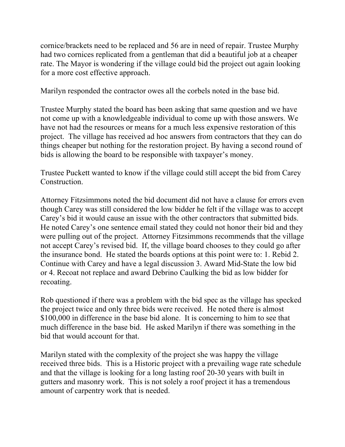cornice/brackets need to be replaced and 56 are in need of repair. Trustee Murphy had two cornices replicated from a gentleman that did a beautiful job at a cheaper rate. The Mayor is wondering if the village could bid the project out again looking for a more cost effective approach.

Marilyn responded the contractor owes all the corbels noted in the base bid.

Trustee Murphy stated the board has been asking that same question and we have not come up with a knowledgeable individual to come up with those answers. We have not had the resources or means for a much less expensive restoration of this project. The village has received ad hoc answers from contractors that they can do things cheaper but nothing for the restoration project. By having a second round of bids is allowing the board to be responsible with taxpayer's money.

Trustee Puckett wanted to know if the village could still accept the bid from Carey Construction.

Attorney Fitzsimmons noted the bid document did not have a clause for errors even though Carey was still considered the low bidder he felt if the village was to accept Carey's bid it would cause an issue with the other contractors that submitted bids. He noted Carey's one sentence email stated they could not honor their bid and they were pulling out of the project. Attorney Fitzsimmons recommends that the village not accept Carey's revised bid. If, the village board chooses to they could go after the insurance bond. He stated the boards options at this point were to: 1. Rebid 2. Continue with Carey and have a legal discussion 3. Award Mid-State the low bid or 4. Recoat not replace and award Debrino Caulking the bid as low bidder for recoating.

Rob questioned if there was a problem with the bid spec as the village has specked the project twice and only three bids were received. He noted there is almost \$100,000 in difference in the base bid alone. It is concerning to him to see that much difference in the base bid. He asked Marilyn if there was something in the bid that would account for that.

Marilyn stated with the complexity of the project she was happy the village received three bids. This is a Historic project with a prevailing wage rate schedule and that the village is looking for a long lasting roof 20-30 years with built in gutters and masonry work. This is not solely a roof project it has a tremendous amount of carpentry work that is needed.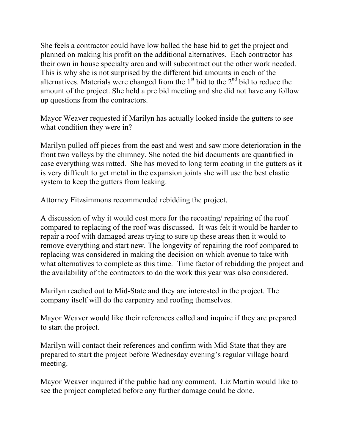She feels a contractor could have low balled the base bid to get the project and planned on making his profit on the additional alternatives. Each contractor has their own in house specialty area and will subcontract out the other work needed. This is why she is not surprised by the different bid amounts in each of the alternatives. Materials were changed from the  $1<sup>st</sup>$  bid to the  $2<sup>nd</sup>$  bid to reduce the amount of the project. She held a pre bid meeting and she did not have any follow up questions from the contractors.

Mayor Weaver requested if Marilyn has actually looked inside the gutters to see what condition they were in?

Marilyn pulled off pieces from the east and west and saw more deterioration in the front two valleys by the chimney. She noted the bid documents are quantified in case everything was rotted. She has moved to long term coating in the gutters as it is very difficult to get metal in the expansion joints she will use the best elastic system to keep the gutters from leaking.

Attorney Fitzsimmons recommended rebidding the project.

A discussion of why it would cost more for the recoating/ repairing of the roof compared to replacing of the roof was discussed. It was felt it would be harder to repair a roof with damaged areas trying to sure up these areas then it would to remove everything and start new. The longevity of repairing the roof compared to replacing was considered in making the decision on which avenue to take with what alternatives to complete as this time. Time factor of rebidding the project and the availability of the contractors to do the work this year was also considered.

Marilyn reached out to Mid-State and they are interested in the project. The company itself will do the carpentry and roofing themselves.

Mayor Weaver would like their references called and inquire if they are prepared to start the project.

Marilyn will contact their references and confirm with Mid-State that they are prepared to start the project before Wednesday evening's regular village board meeting.

Mayor Weaver inquired if the public had any comment. Liz Martin would like to see the project completed before any further damage could be done.